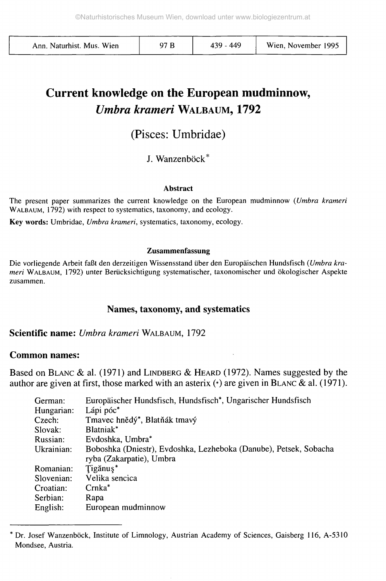| Ann. Naturhist. Mus. Wien |  | 439 - 449 | Wien, November 1995 |
|---------------------------|--|-----------|---------------------|
|---------------------------|--|-----------|---------------------|

# **Current knowledge on the European mudminnow,** *Umbra krameri* WALBAUM, **1792**

# (Pisces: Umbridae)

J. Wanzenböck\*

#### **Abstract**

The present paper summarizes the current knowledge on the European mudminnow *{Umbra krameri* WALBAUM, 1792) with respect to systematics, taxonomy, and ecology.

**Key words:** Umbridae, *Umbra krameri,* systematics, taxonomy, ecology.

#### **Zusammenfassung**

Die vorliegende Arbeit faßt den derzeitigen Wissensstand über den Europäischen Hundsfisch *{Umbra krameri* WALBAUM, 1792) unter Berücksichtigung systematischer, taxonomischer und ökologischer Aspekte zusammen.

#### **Names, taxonomy, and systematics**

**Scientific name:** *Umbra krameri* WALBAUM, 1792

#### **Common names:**

Based on BLANC & al. (1971) and LINDBERG & HEARD (1972). Names suggested by the author are given at first, those marked with an asterix  $(*)$  are given in BLANC & al. (1971).

| German:    | Europäischer Hundsfisch, Hundsfisch*, Ungarischer Hundsfisch                                  |
|------------|-----------------------------------------------------------------------------------------------|
| Hungarian: | Lápi póc <sup>*</sup>                                                                         |
| Czech:     | Tmavec hnědý*, Blatňák tmavý                                                                  |
| Slovak:    | Blatniak <sup>*</sup>                                                                         |
| Russian:   | Evdoshka, Umbra*                                                                              |
| Ukrainian: | Boboshka (Dniestr), Evdoshka, Lezheboka (Danube), Petsek, Sobacha<br>ryba (Zakarpatie), Umbra |
| Romanian:  | Tigănus*                                                                                      |
| Slovenian: | Velika sencica                                                                                |
| Croatian:  | $Crnka^*$                                                                                     |
| Serbian:   | Rapa                                                                                          |
| English:   | European mudminnow                                                                            |

Dr. Josef Wanzenböck, Institute of Limnology, Austrian Academy of Sciences, Gaisberg 116, A-5310 Mondsee, Austria.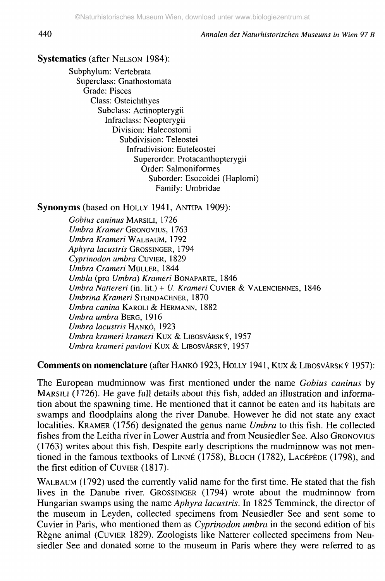440 *Annalen des Naturhistorischen Museums in Wien 97 B*

#### **Systematics** (after NELSON 1984):

Subphylum: Vertebrata Superclass: Gnathostomata Grade: Pisces Class: Osteichthyes Subclass: Actinopterygii Infraclass: Neopterygii Division: Halecostomi Subdivision: Teleostei Infradivision: Euteleostei Superorder: Protacanthopterygii Order: Salmoniformes Suborder: Esocoidei (Haplomi) Family: Umbridae

**Synonyms** (based on HOLLY 1941, ANTIPA 1909):

*Gobius caninus* MARSILI, 1726 *Umbra Kramer* GRONOVIUS, 1763 *Umbra Krameri* WALBAUM, 1792 *Aphyra lacustris* GROSSINGER, 1794 *Cyprinodon umbra* CUVIER, 1829 *Umbra Crameri* MÜLLER, 1844 *Umbla* (pro *Umbra) Krameri* BONAPARTE, 1846 *Umbra Nattered* (in. lit.) + *U. Krameri* CUVIER & VALENCIENNES, 1846 *Umbrina Krameri* STEINDACHNER, 1870 *Umbra canina* KAROLI & HERMANN, 1882 *Umbra umbra* BERG, 1916 *Umbra lacustris* HANKÓ, 1923 *Umbra krameri krameri* Kux & LIBOSVÂRSKY, 1957 *Umbra krameri pavlovi* Kux & LIBOSVARSKY, 1957

**Comments on nomenclature** (after HANKÓ 1923, HOLLY 1941, Kux & LIBOSVÂRSKY 1957):

The European mudminnow was first mentioned under the name *Gobius caninus* by MARSILI (1726). He gave full details about this fish, added an illustration and information about the spawning time. He mentioned that it cannot be eaten and its habitats are swamps and floodplains along the river Danube. However he did not state any exact localities. KRAMER (1756) designated the genus name *Umbra* to this fish. He collected fishes from the Leitha river in Lower Austria and from Neusiedler See. Also GRONOVIUS (1763) writes about this fish. Despite early descriptions the mudminnow was not mentioned in the famous textbooks of LINNÉ (1758), BLOCH (1782), LACÉPÈDE (1798), and the first edition of CUVIER (1817).

WALBAUM (1792) used the currently valid name for the first time. He stated that the fish lives in the Danube river. GROSSINGER (1794) wrote about the mudminnow from Hungarian swamps using the name *Aphyra lacustris.* In 1825 Temminck, the director of the museum in Leyden, collected specimens from Neusiedler See and sent some to Cuvier in Paris, who mentioned them as *Cyprinodon umbra* in the second edition of his Règne animal (CUVIER 1829). Zoologists like Natterer collected specimens from Neusiedler See and donated some to the museum in Paris where they were referred to as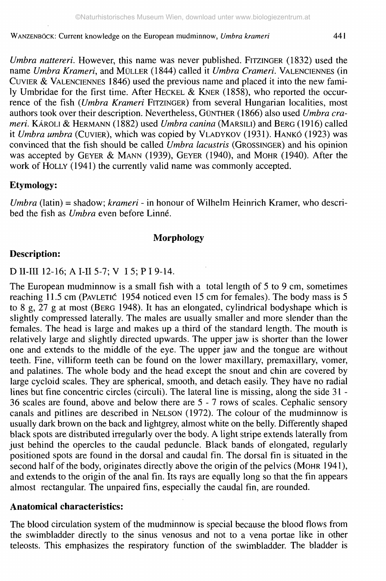*Umbra nattereri*. However, this name was never published. FITZINGER (1832) used the name *Umbra Krameri,* and MÜLLER (1844) called it *Umbra Crame ri.* VALENCIENNES (in CUVIER & VALENCIENNES 1846) used the previous name and placed it into the new family Umbridae for the first time. After HECKEL & KNER (1858), who reported the occurrence of the fish *{Umbra Krameri* FITZINGER) from several Hungarian localities, most authors took over their description. Nevertheless, GÜNTHER (1866) also used *Umbra crameri.* KÂROLI & HERMANN (1882) used *Umbra cartina* (MARSILI) and BERG (1916) called it *Umbra umbra* (CUVIER), which was copied by VLADYKOV (1931). HANKÓ (1923) was convinced that the fish should be called *Umbra lacustris* (GROSSINGER) and his opinion was accepted by GEYER & MANN (1939), GEYER (1940), and MOHR (1940). After the work of HOLLY (1941) the currently valid name was commonly accepted.

#### **Etymology:**

*Umbra* (latin) = shadow; *krameri* - in honour of Wilhelm Heinrich Kramer, who described the fish as *Umbra* even before Linné.

#### **Morphology**

#### **Description:**

D II-III 12-16; A **III** 5-7; V I 5; P I 9-14.

The European mudminnow is a small fish with a total length of 5 to 9 cm, sometimes reaching 11.5 cm (PAVLETIC 1954 noticed even 15 cm for females). The body mass is 5 to 8 g,  $27$  g at most (BERG 1948). It has an elongated, cylindrical bodyshape which is slightly compressed laterally. The males are usually smaller and more slender than the females. The head is large and makes up a third of the standard length. The mouth is relatively large and slightly directed upwards. The upper jaw is shorter than the lower one and extends to the middle of the eye. The upper jaw and the tongue are without teeth. Fine, villiform teeth can be found on the lower maxillary, premaxillary, vomer, and palatines. The whole body and the head except the snout and chin are covered by large cycloid scales. They are spherical, smooth, and detach easily. They have no radial lines but fine concentric circles (circuii). The lateral line is missing, along the side 31 - 36 scales are found, above and below there are 5 - 7 rows of scales. Cephalic sensory canals and pitlines are described in NELSON (1972). The colour of the mudminnow is usually dark brown on the back and lightgrey, almost white on the belly. Differently shaped black spots are distributed irregularly over the body. A light stripe extends laterally from just behind the opercles to the caudal peduncle. Black bands of elongated, regularly positioned spots are found in the dorsal and caudal fin. The dorsal fin is situated in the second half of the body, originates directly above the origin of the pelvics (MOHR 1941), and extends to the origin of the anal fin. Its rays are equally long so that the fin appears almost rectangular. The unpaired fins, especially the caudal fin, are rounded.

#### **Anatomical characteristics:**

The blood circulation system of the mudminnow is special because the blood flows from the swimbladder directly to the sinus venosus and not to a vena portae like in other teleosts. This emphasizes the respiratory function of the swimbladder. The bladder is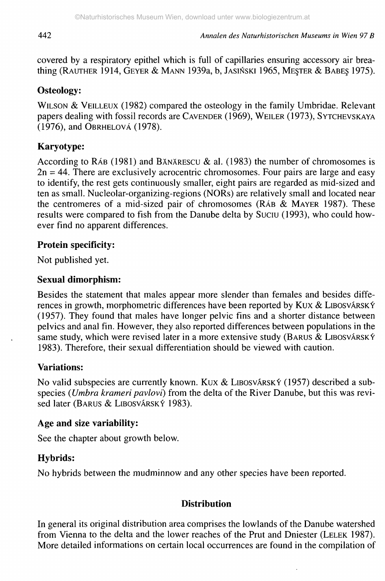covered by a respiratory epithel which is full of capillaries ensuring accessory air breathing (RAUTHER 1914, GEYER & MANN 1939a, b, JASINSKI 1965, MESTER & BABES 1975).

# **Osteology:**

WILSON & VEILLEUX (1982) compared the osteology in the family Umbridae. Relevant papers dealing with fossil records are CAVENDER (1969), WEILER (1973), SYTCHEVSKAYA  $(1976)$ , and OBRHELOVÁ (1978).

# Karyotype:

According to  $R\overline{AB}$  (1981) and BANÄRESCU & al. (1983) the number of chromosomes is  $2n = 44$ . There are exclusively acrocentric chromosomes. Four pairs are large and easy to identify, the rest gets continuously smaller, eight pairs are regarded as mid-sized and ten as small. Nucleolar-organizing-regions (NORs) are relatively small and located near the centromeres of a mid-sized pair of chromosomes (RÁB  $\&$  MAYER 1987). These results were compared to fish from the Danube delta by Suciu (1993), who could however find no apparent differences.

# **Protein specificity:**

Not published yet.

### **Sexual dimorphism:**

Besides the statement that males appear more slender than females and besides differences in growth, morphometric differences have been reported by Kux & LIBOSVÁRSKÝ (1957). They found that males have longer pelvic fins and a shorter distance between pelvics and anal fin. However, they also reported differences between populations in the same study, which were revised later in a more extensive study (BARUS & LIBOSVÁRSKÝ 1983). Therefore, their sexual differentiation should be viewed with caution.

# **Variations:**

No valid subspecies are currently known. Kux & LIBOSVÁRSKÝ (1957) described a subspecies *{Umbra krameri pavlovi)* from the delta of the River Danube, but this was revised later (BARUS & LIBOSVÁRSKÝ 1983).

#### **Age and size variability:**

See the chapter about growth below.

# **Hybrids:**

No hybrids between the mudminnow and any other species have been reported.

# **Distribution**

In general its original distribution area comprises the lowlands of the Danube watershed from Vienna to the delta and the lower reaches of the Prut and Dniester (LELEK 1987). More detailed informations on certain local occurrences are found in the compilation of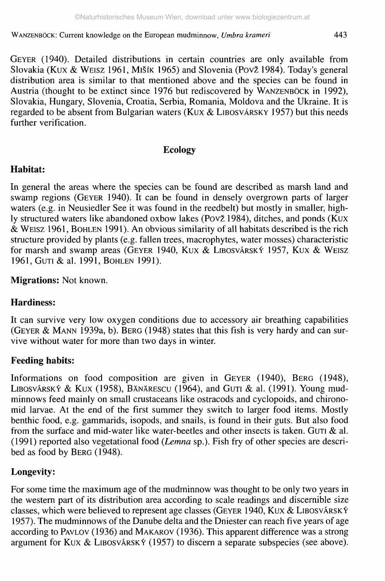GEYER (1940). Detailed distributions in certain countries are only available from Slovakia (Kux & WEISZ 1961, MIŠík 1965) and Slovenia (Povž 1984). Today's general distribution area is similar to that mentioned above and the species can be found in Austria (thought to be extinct since 1976 but rediscovered by WANZENBÖCK in 1992), Slovakia, Hungary, Slovenia, Croatia, Serbia, Romania, Moldova and the Ukraine. It is regarded to be absent from Bulgarian waters (KUX  $&$  LIBOSVÁRSKY 1957) but this needs further verification.

#### **Ecology**

### **Habitat:**

In general the areas where the species can be found are described as marsh land and swamp regions (GEYER 1940). It can be found in densely overgrown parts of larger waters (e.g. in Neusiedler See it was found in the reedbelt) but mostly in smaller, highly structured waters like abandoned oxbow lakes (Povž 1984), ditches, and ponds (KUX & WEISZ 1961, BOHLEN 1991). An obvious similarity of all habitats described is the rich structure provided by plants (e.g. fallen trees, macrophytes, water mosses) characteristic for marsh and swamp areas (GEYER 1940, KUX & LIBOSVÁRSKÝ 1957, KUX & WEISZ 1961, GUTI & al. 1991, BOHLEN 1991).

**Migrations:** Not known.

# **Hardiness:**

It can survive very low oxygen conditions due to accessory air breathing capabilities (GEYER & MANN 1939a, b). BERG (1948) states that this fish is very hardy and can survive without water for more than two days in winter.

# **Feeding habits:**

Informations on food composition are given in GEYER (1940), BERG (1948), LIBOSVÁRSKÝ & KUX (1958), BÄNÄRESCU (1964), and GUTI & al. (1991). Young mudminnows feed mainly on small crustaceans like ostracods and cyclopoids, and chironomid larvae. At the end of the first summer they switch to larger food items. Mostly benthic food, e.g. gammarids, isopods, and snails, is found in their guts. But also food from the surface and mid-water like water-beetles and other insects is taken. GUTI & al. (1991) reported also vegetational food *(Lemna* sp.). Fish fry of other species are described as food by BERG (1948).

# **Longevity:**

For some time the maximum age of the mudminnow was thought to be only two years in the western part of its distribution area according to scale readings and discernible size classes, which were believed to represent age classes (GEYER 1940, Kux & LIBOSVÂRSKY 1957). The mudminnows of the Danube delta and the Dniester can reach five years of age according to PAVLOV (1936) and MAKAROV (1936). This apparent difference was a strong argument for Kux & LIBOSVÂRSKY (1957) to discern a separate subspecies (see above).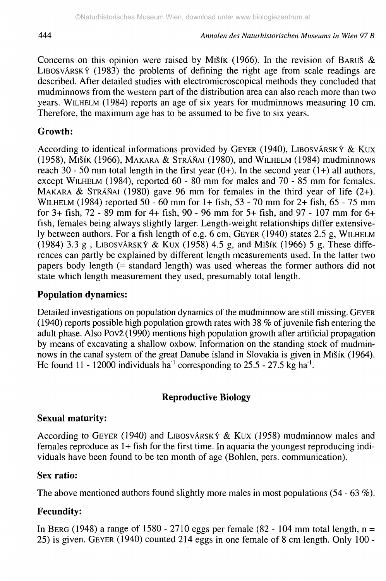Concerns on this opinion were raised by MISIK (1966). In the revision of BARUS  $\&$ LIBOSVÁRSKÝ  $(1983)$  the problems of defining the right age from scale readings are described. After detailed studies with electromicroscopical methods they concluded that mudminnows from the western part of the distribution area can also reach more than two years. WILHELM (1984) reports an age of six years for mudminnows measuring 10 cm. Therefore, the maximum age has to be assumed to be five to six years.

### **Growth:**

According to identical informations provided by GEYER (1940), LIBOSVÂRSKY & Kux (1958), Mišík (1966), MAKARA & STRÁŇAI (1980), and WILHELM (1984) mudminnows reach 30 - 50 mm total length in the first year  $(0+)$ . In the second year  $(1+)$  all authors, except WILHELM (1984), reported 60 - 80 mm for males and 70 - 85 mm for females. MAKARA & STRÁŇAI (1980) gave 96 mm for females in the third year of life  $(2+)$ . WILHELM (1984) reported 50 - 60 mm for 1+ fish, 53 - 70 mm for 2+ fish, 65 - 75 mm for 3+ fish, 72 - 89 mm for 4+ fish, 90 - 96 mm for 5+ fish, and 97-107 mm for 6+ fish, females being always slightly larger. Length-weight relationships differ extensively between authors. For a fish length of e.g. 6 cm, GEYER (1940) states 2.5 g, WILHELM (1984) 3.3 g, LIBOSVÁRSKÝ & KUX (1958) 4.5 g, and MIŠÍK (1966) 5 g. These differences can partly be explained by different length measurements used. In the latter two papers body length (= standard length) was used whereas the former authors did not state which length measurement they used, presumably total length.

#### **Population dynamics:**

Detailed investigations on population dynamics of the mudminnow are still missing. GEYER (1940) reports possible high population growth rates with 38 % of juvenile fish entering the adult phase. Also Pov£(1990) mentions high population growth after artificial propagation by means of excavating a shallow oxbow. Information on the standing stock of mudminnows in the canal system of the great Danube island in Slovakia is given in MISIK (1964). He found 11 - 12000 individuals ha<sup>-1</sup> corresponding to 25.5 - 27.5 kg ha<sup>-1</sup>.

#### **Reproductive Biology**

#### **Sexual maturity:**

According to GEYER (1940) and LIBOSVÁRSKÝ & KUX (1958) mudminnow males and females reproduce as 1+ fish for the first time. In aquaria the youngest reproducing individuals have been found to be ten month of age (Bohlen, pers. communication).

#### **Sex ratio:**

The above mentioned authors found slightly more males in most populations (54 - 63 %).

# **Fecundity:**

In BERG (1948) a range of 1580 - 2710 eggs per female (82 - 104 mm total length,  $n =$ 25) is given. GEYER (1940) counted 214 eggs in one female of 8 cm length. Only 100 -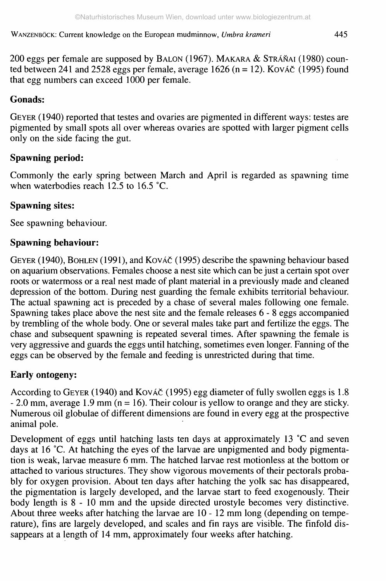200 eggs per female are supposed by BALON (1967). MAKARA & STRÁŇAI (1980) counted between 241 and 2528 eggs per female, average 1626 (n = 12). Kováč (1995) found that egg numbers can exceed 1000 per female.

#### **Gonads:**

GEYER (1940) reported that testes and ovaries are pigmented in different ways: testes are pigmented by small spots all over whereas ovaries are spotted with larger pigment cells only on the side facing the gut.

### **Spawning period:**

Commonly the early spring between March and April is regarded as spawning time when waterbodies reach 12.5 to 16.5 °C.

### **Spawning sites:**

See spawning behaviour.

### **Spawning behaviour:**

GEYER (1940), BOHLEN (1991), and KOVÁČ (1995) describe the spawning behaviour based on aquarium observations. Females choose a nest site which can be just a certain spot over roots or watermoss or a real nest made of plant material in a previously made and cleaned depression of the bottom. During nest guarding the female exhibits territorial behaviour. The actual spawning act is preceded by a chase of several males following one female. Spawning takes place above the nest site and the female releases 6 - 8 eggs accompanied by trembling of the whole body. One or several males take part and fertilize the eggs. The chase and subsequent spawning is repeated several times. After spawning the female is very aggressive and guards the eggs until hatching, sometimes even longer. Fanning of the eggs can be observed by the female and feeding is unrestricted during that time.

# **Early ontogeny:**

According to GEYER (1940) and KOVÁČ (1995) egg diameter of fully swollen eggs is 1.8  $- 2.0$  mm, average 1.9 mm (n = 16). Their colour is yellow to orange and they are sticky. Numerous oil globulae of different dimensions are found in every egg at the prospective animal pole.

Development of eggs until hatching lasts ten days at approximately 13 °C and seven days at 16 °C. At hatching the eyes of the larvae are unpigmented and body pigmentation is weak, larvae measure 6 mm. The hatched larvae rest motionless at the bottom or attached to various structures. They show vigorous movements of their pectorals probably for oxygen provision. About ten days after hatching the yolk sac has disappeared, the pigmentation is largely developed, and the larvae start to feed exogenously. Their body length is 8 - 10 mm and the upside directed urostyle becomes very distinctive. About three weeks after hatching the larvae are 10 - 12 mm long (depending on temperature), fins are largely developed, and scales and fin rays are visible. The finfold dissappears at a length of 14 mm, approximately four weeks after hatching.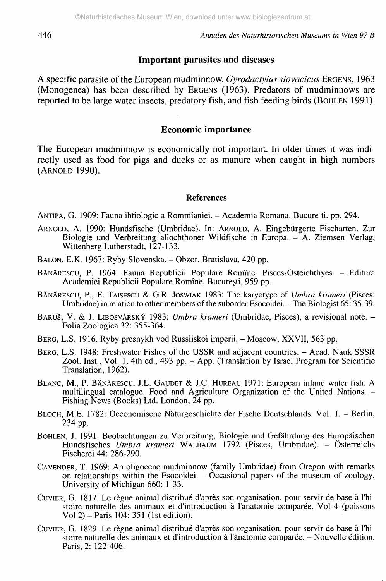#### **Important parasites and diseases**

A specific parasite of the European mudminnow, *Gyrodactylus slovacicus* ERGENS, 1963 (Monogenea) has been described by ERGENS (1963). Predators of mudminnows are reported to be large water insects, predatory fish, and fish feeding birds (BOHLEN 1991).

#### **Economic importance**

The European mudminnow is economically not important. In older times it was indirectly used as food for pigs and ducks or as manure when caught in high numbers (ARNOLD 1990).

#### **References**

ANTIPA, G. 1909: Fauna ihtiologic a Rommîaniei. - Academia Romana. Bucure ti. pp. 294.

- ARNOLD, A. 1990: Hundsfische (Umbridae). In: ARNOLD, A. Eingebürgerte Fischarten. Zur Biologie und Verbreitung allochthoner Wildfische in Europa. - A. Ziemsen Verlag, Wittenberg Lutherstadt, 127-133.
- BALON, E.K. 1967: Ryby Slovenska. Obzor, Bratislava, 420 pp.
- BÄNÄRESCU, P. 1964: Fauna Republicii Populäre Romîne. Pisces-Osteichthyes. Editura Academiei Republicii Populare Romîne, Bucuresti, 959 pp.
- BÄNÄRESCU, P., E. TAJSESCU & G.R. JoswiAK 1983: The karyotype of *Umbra krameri* (Pisces: Umbridae) in relation to other members of the suborder Esocoidei. - The Biologist 65: 35-39.
- BARUŠ, V. & J. LIBOSVÁRSKÝ 1983: Umbra krameri (Umbridae, Pisces), a revisional note. -Folia Zoologica 32: 355-364.
- BERG, L.S. 1916. Ryby presnykh vod Russiiskoi imperii. Moscow, XXVII, 563 pp.
- BERG, L.S. 1948: Freshwater Fishes of the USSR and adjacent countries. Acad. Nauk SSSR Zool. Inst., Vol. 1, 4th ed., 493 pp. + App. (Translation by Israel Program for Scientific Translation, 1962).
- BLANC, M., P. BÄNÄRESCU, I.L. GAUDET & J.C. HUREAU 1971: European inland water fish. A multilingual catalogue. Food and Agriculture Organization of the United Nations. -Fishing News (Books) Ltd. London, 24 pp.
- BLOCH, M.E. 1782: Oeconomische Naturgeschichte der Fische Deutschlands. Vol. 1. Berlin, 234 pp.
- BOHLEN, J. 1991: Beobachtungen zu Verbreitung, Biologie und Gefährdung des Europäischen Hundsfisches *Umbra kramen* WALBAUM 1792 (Pisces, Umbridae). - Österreichs Fischerei 44: 286-290.
- CAVENDER, T. 1969: An oligocene mudminnow (family Umbridae) from Oregon with remarks on relationships within the Esocoidei. - Occasional papers of the museum of zoology, University of Michigan 660: 1-33.
- CUVIER, G. 1817: Le règne animal distribué d'après son organisation, pour servir de base à l'histoire naturelle des animaux et d'introduction à l'anatomie comparée. Vol 4 (poissons Vol 2) - Paris 104: 351 (1st edition).
- CUVIER, G. 1829: Le règne animal distribué d'après son organisation, pour servir de base à l'histoire naturelle des animaux et d'introduction à l'anatomie comparée. - Nouvelle édition, Paris, 2: 122-406.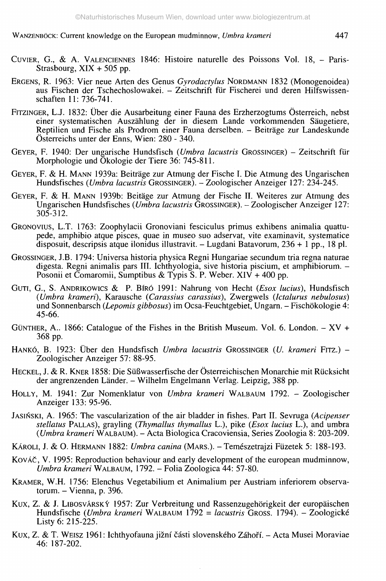- CUVIER, G., & A. VALENCIENNES 1846: Histoire naturelle des Poissons Vol. 18, Paris-Strasbourg, XIX + 505 pp.
- ERGENS, R. 1963: Vier neue Arten des Genus *Gyrodactylus* NORDMANN 1832 (Monogenoidea) aus Fischen der Tschechoslowakei. - Zeitschrift für Fischerei und deren Hilfswissenschaften 11:736-741.
- FITZINGER, LJ. 1832: Über die Ausarbeitung einer Fauna des Erzherzogtums Österreich, nebst einer systematischen Auszählung der in diesem Lande vorkommenden Säugetiere, Reptilien und Fische als Prodrom einer Fauna derselben. - Beiträge zur Landeskunde Österreichs unter der Enns, Wien: 280 - 340.
- GEYER, F. 1940: Der ungarische Hundsfisch *(Umbra lacustris* GROSSINGER) Zeitschrift für Morphologie und Ökologie der Tiere 36: 745-811.
- GEYER, F. & H. MANN 1939a: Beiträge zur Atmung der Fische I. Die Atmung des Ungarischen Hundsfisches *(Umbra lacustris* GROSSINGER). - Zoologischer Anzeiger 127: 234-245.
- GEYER, F. & H. MANN 1939b: Beitäge zur Atmung der Fische II. Weiteres zur Atmung des Ungarischen Hundsfisches *(Umbra lacustris* GROSSINGER). - Zoologischer Anzeiger 127: 305-312.
- GRONOVIUS, L.T. 1763: Zoophylacü Gronoviani fesciculus primus exhibens animalia quattupede, amphibio atque pisces, quae in museo suo adservat, vite examinavit, systematice disposuit, descripsis atque ilonidus illustravit. - Lugdani Batavorum,  $236 + 1$  pp., 18 pl.
- GROSSINGER, J.B. 1794: Universa historia physica Regni Hungariae secundum tria regna naturae digesta. Regni animalis pars III. Ichthyologia, sive historia piscium, et amphibiorum. - Posonii et Comaromii, Sumptibus & Typis S. P. Weber.  $XIV + 400$  pp.
- GuTi, G., S. ANDRIKOWICS & P. BIRO 1991: Nahrung von Hecht *(Esox lucius),* Hundsfisch *(Umbra krameri),* Karausche *(Carassius carassius),* Zwergwels *(Ictalurus nebulosus)* und Sonnenbarsch *(Lepomis gibbosus)* im Ocsa-Feuchtgebiet, Ungarn. - Fischökologie 4: 45-66.
- GÜNTHER, A.. 1866: Catalogue of the Fishes in the British Museum. Vol. 6. London.  $XV +$ 368 pp.
- HANKÓ, B. 1923: Über den Hundsfisch *Umbra lacustris* GROSSINGER *(U. krameri* FITZ.) Zoologischer Anzeiger 57: 88-95.
- HECKEL, J. & R. KNER 1858: Die Süßwasserfische der Österreichischen Monarchie mit Rücksicht der angrenzenden Länder. - Wilhelm Engelmann Verlag. Leipzig, 388 pp.
- HOLLY, M. 1941: Zur Nomenklatur von *Umbra kramen* WALBAUM 1792. Zoologischer Anzeiger 133: 95-96.
- JASINSKI, A. 1965: The vascularization of the air bladder in fishes. Part II. Sevruga *(Acipenser stellatus* PALLAS), grayling *(Thymallus thymallus* L.), pike *(Esox lucius* L.), and umbra *(Umbra krameri* WALBAUM). - Acta Biologica Cracoviensia, Series Zoologia 8: 203-209.
- KÀROLi, J. & O. HERMANN 1882: *Umbra cartina* (MARS.). Temészetrajzi Füzetek 5: 188-193.
- KovÄC, V. 1995: Reproduction behaviour and early development of the european mudminnow, *Umbra krameri* WALBAUM, 1792. - Folia Zoologica 44: 57-80.
- KRAMER, W.H. 1756: Elenchus Vegetabilium et Animalium per Austriam inferiorem observatorum.  $-$  Vienna, p. 396.
- Kux, Z. & J. LIBOSVARSKY 1957: Zur Verbreitung und Rassenzugehörigkeit der europäischen Hundsfische *(Umbra krameri* WALBAUM 1792 = *lacustris* GROSS. 1794). - Zoologické Listy 6: 215-225.
- Kux, Z. & T. WEISZ 1961: Ichthyofauna jižní části slovenského Záhoří. Acta Musei Moraviae 46: 187-202.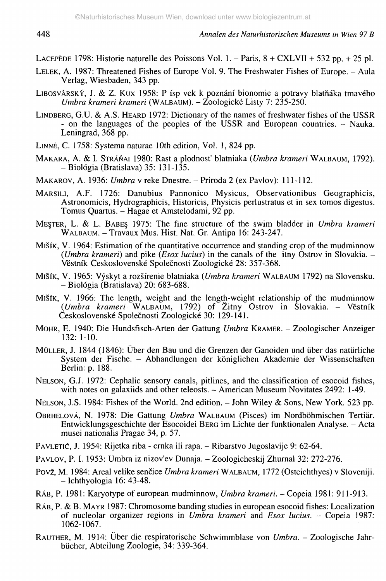LACEPÈDE 1798: Historie naturelle des Poissons Vol. 1. - Paris, 8 + CXLVII + 532 pp. + 25 pi.

- LELEK, A. 1987: Threatened Fishes of Europe Vol. 9. The Freshwater Fishes of Europe. Aula Verlag, Wiesbaden, 343 pp.
- LIBOSVÁRSKÝ, J. & Z. KUX 1958: P ísp vek k poznání bionomie a potravy blatňáka tmavého *Umbra krameri krameri* (WALBAUM). - Zoologické Listy 7: 235-250.
- LINDBERG, G.U. & A.S. HEARD 1972: Dictionary of the names of freshwater fishes of the USSR - on the languages of the peoples of the USSR and European countries. - Nauka. Leningrad, 368 pp.
- LINNÉ, C. 1758: Systema naturae 10th edition, Vol. 1, 824 pp.
- MAKARA, A. & I. STRÄNAI 1980: Rast a plodnost' blatniaka *(Umbra krameri* WALBAUM, 1792). - Biologia (Bratislava) 35: 131-135.
- MAKAROV, A. 1936: *Umbra* v reke Dnestre. Priroda 2 (ex Pavlov): 111-112.
- MARSILI, A.F. 1726: Danubius Pannonico Mysicus, Observationibus Geographicis, Astronomicis, Hydrographicis, Historicis, Physicis perlustratus et in sex tomos digestus. Tomus Quartus. - Hagae et Amstelodami, 92 pp.
- ME§TER, L. & L. BABES, 1975: The fine structure of the swim bladder in *Umbra krameri* WALBAUM. - Travaux Mus. Hist. Nat. Gr. Antipa 16: 243-247.
- MISÌK, V. 1964: Estimation of the quantitative occurrence and standing crop of the mudminnow *(Umbra krameri)* and pike *(Esox lucius)* in the canals of the itny Ostrov in Slovakia. - Vestnik Ceskoslovenské Spolecnosti Zoologické 28: 357-368.
- MISÎK, V. 1965: Vyskyt a rozsirenie blatniaka *(Umbra krameri* WALBAUM 1792) na Slovensku. - Biologia (Bratislava) 20: 683-688.
- MISÏK, V. 1966: The length, weight and the length-weight relationship of the mudminnow *(Umbra krameri* WALBAUM, 1792) of Zitny Ostrov in Slovakia. - Vestnik Ceskoslovenské Spolecnosti Zoologické 30: 129-141.
- MOHR, E. 1940: Die Hundsfisch-Arten der Gattung *Umbra* KRAMER. Zoologischer Anzeiger 132: 1-10.
- MÜLLER, J. 1844 (1846): Über den Bau und die Grenzen der Ganoiden und über das natürliche System der Fische. - Abhandlungen der königlichen Akademie der Wissenschaften Berlin: p. 188.
- NELSON, G.J. 1972: Cephalic sensory canals, pitlines, and the classification of esocoid fishes, with notes on galaxiids and other teleosts. - American Museum Novitates 2492: 1-49.
- NELSON, J.S. 1984: Fishes of the World. 2nd edition. John Wiley & Sons, New York. 523 pp.
- OBRHELOVÄ, N. 1978: Die Gattung *Umbra* WALBAUM (Pisces) im Nordböhmischen Tertiär. Entwicklungsgeschichte der Esocoidei BERG im Lichte der funktionalen Analyse. - Acta musei nationalis Pragae 34, p. 57.
- PAVLETIĆ, J. 1954: Rijetka riba crnka ili rapa. Ribarstvo Jugoslavije 9: 62-64.
- PAVLOV, P. I. 1953: Umbra iz nizov'ev Dunaja. Zoologicheskij Zhurnal 32: 272-276.
- Pov2, M. 1984: Areal velike sencice *Umbra krameri* WALBAUM, 1772 (Osteichthyes) v Sloveniji.  $-$  Ichthyologia 16: 43-48.
- RÂB, P. 1981: Karyotype of european mudminnow, *Umbra krameri. -* Copeia 1981: 911-913.
- RÄB, P. & B. MAYR 1987: Chromosome banding studies in european esocoid fishes: Localization of nucleolar organizer regions in *Umbra krameri* and *Esox lucius.* - Copeia 1987: 1062-1067.
- RAUTHER, M. 1914: Über die respiratorische Schwimmblase von *Umbra.* Zoologische Jahrbücher, Abteilung Zoologie, 34: 339-364.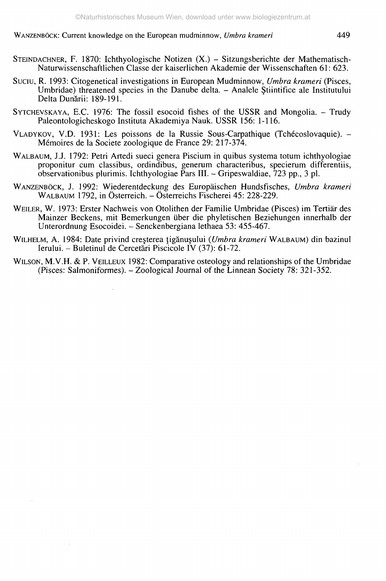- STEINDACHNER, F. 1870: Ichthyologische Notizen (X.) Sitzungsberichte der Mathematisch-Naturwissenschaftlichen Classe der kaiserlichen Akademie der Wissenschaften 61: 623.
- Suciu, R. 1993: Citogenetical investigations in European Mudminnow, *Umbra krameri* (Pisces, Umbridae) threatened species in the Danube delta. - Analele Stiintifice ale Institutului Delta Dunärii: 189-191.
- SYTCHEVSKAYA, E.C. 1976: The fossil esocoid fishes of the USSR and Mongolia. Trudy Paleontologicheskogo Instituta Akademiya Nauk. USSR 156: 1-116.
- VLADYKOV, V.D. 1931: Les poissons de la Russie Sous-Carpathique (Tchécoslovaquie). Mémoires de la Societe zoologique de France 29: 217-374.
- WALBAUM, J.J. 1792: Pétri Artedi sueci genera Piscium in quibus systema totum ichthyologiae proponitur cum classibus, ordindibus, generum characteribus, specierum differentiis, observationibus plurimis. Ichthyologiae Pars III. - Gripeswaldiae, 723 pp., 3 pi.
- WANZENBÖCK, J. 1992: Wiederentdeckung des Europäischen Hundsfisches, *Umbra krameri* WALBAUM 1792, in Österreich. - Österreichs Fischerei 45: 228-229.
- WEILER, W. 1973: Erster Nachweis von Otolithen der Familie Umbridae (Pisces) im Tertiär des Mainzer Beckens, mit Bemerkungen über die phyletischen Beziehungen innerhalb der Unterordnung Esocoidei. - Senckenbergiana lethaea 53: 455-467.
- WILHELM, A. 1984: Date privind creșterea țigănușului (Umbra krameri WALBAUM) din bazinul Ierului. - Buletinul de Cercetäri Piscicole IV (37): 61-72.
- WILSON, M.V.H. & P. VEILLEUX 1982: Comparative osteology and relationships of the Umbridae (Pisces: Salmoniformes). - Zoological Journal of the Linnean Society 78: 321-352.